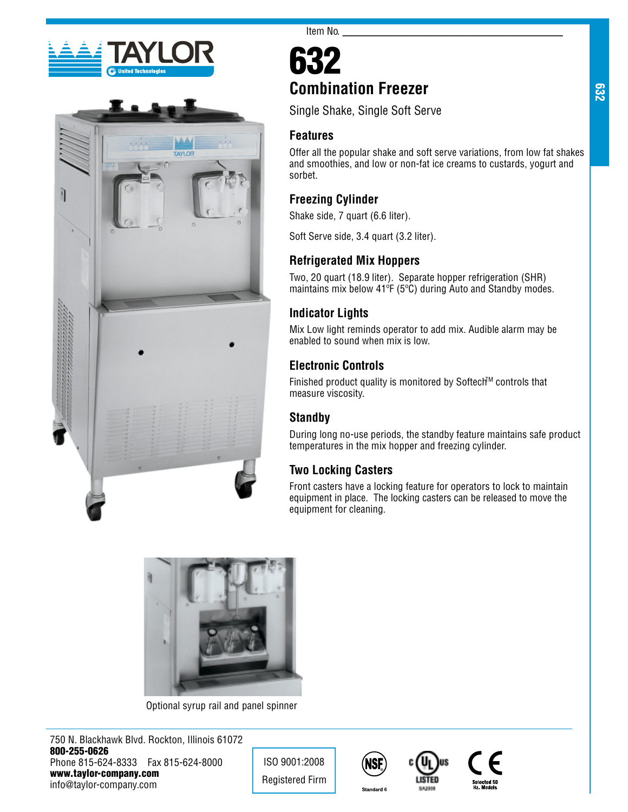



# 632 **Combination Freezer**

Item No. $\_\_$ 

Single Shake, Single Soft Serve

#### **Features**

Offer all the popular shake and soft serve variations, from low fat shakes and smoothies, and low or non-fat ice creams to custards, yogurt and sorbet.

### **Freezing Cylinder**

Shake side, 7 quart (6.6 liter).

Soft Serve side, 3.4 quart (3.2 liter).

### **Refrigerated Mix Hoppers**

Two, 20 quart (18.9 liter). Separate hopper refrigeration (SHR) maintains mix below 41ºF (5ºC) during Auto and Standby modes.

### **Indicator Lights**

Mix Low light reminds operator to add mix. Audible alarm may be enabled to sound when mix is low.

## **Electronic Controls**

Finished product quality is monitored by Softech™ controls that measure viscosity.

### **Standby**

During long no-use periods, the standby feature maintains safe product temperatures in the mix hopper and freezing cylinder.

## **Two Locking Casters**

Front casters have a locking feature for operators to lock to maintain equipment in place. The locking casters can be released to move the equipment for cleaning.



Optional syrup rail and panel spinner

750 N. Blackhawk Blvd. Rockton, Illinois 61072 800-255-0626 Phone 815-624-8333 Fax 815-624-8000 www.taylor-company.com info@taylor-company.com

ISO 9001:2008 Registered Firm